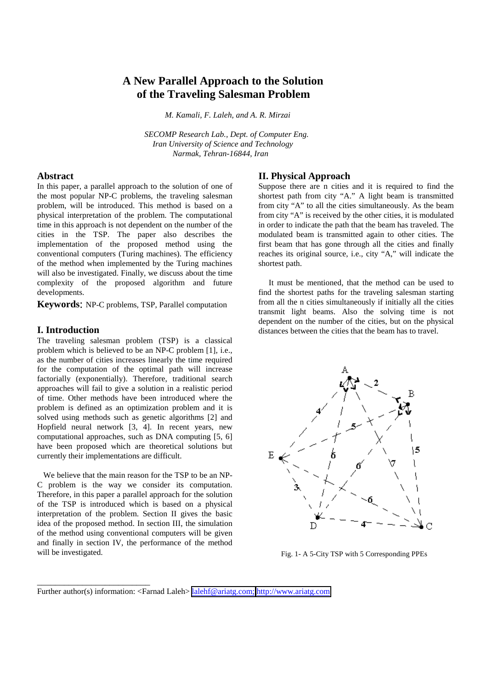# **A New Parallel Approach to the Solution of the Traveling Salesman Problem**

 *M. Kamali, F. Laleh, and A. R. Mirzai*

 *SECOMP Research Lab., Dept. of Computer Eng. Iran University of Science and Technology Narmak, Tehran-16844, Iran*

## **Abstract**

In this paper, a parallel approach to the solution of one of the most popular NP-C problems, the traveling salesman problem, will be introduced. This method is based on a physical interpretation of the problem. The computational time in this approach is not dependent on the number of the cities in the TSP. The paper also describes the implementation of the proposed method using the conventional computers (Turing machines). The efficiency of the method when implemented by the Turing machines will also be investigated. Finally, we discuss about the time complexity of the proposed algorithm and future developments.

**Keywords**: NP-C problems, TSP, Parallel computation

#### **I. Introduction**

The traveling salesman problem (TSP) is a classical problem which is believed to be an NP-C problem [1], i.e., as the number of cities increases linearly the time required for the computation of the optimal path will increase factorially (exponentially). Therefore, traditional search approaches will fail to give a solution in a realistic period of time. Other methods have been introduced where the problem is defined as an optimization problem and it is solved using methods such as genetic algorithms [2] and Hopfield neural network [3, 4]. In recent years, new computational approaches, such as DNA computing [5, 6] have been proposed which are theoretical solutions but currently their implementations are difficult.

 We believe that the main reason for the TSP to be an NP-C problem is the way we consider its computation. Therefore, in this paper a parallel approach for the solution of the TSP is introduced which is based on a physical interpretation of the problem. Section II gives the basic idea of the proposed method. In section III, the simulation of the method using conventional computers will be given and finally in section IV, the performance of the method will be investigated.

\_\_\_\_\_\_\_\_\_\_\_\_\_\_\_\_\_\_\_\_\_\_\_\_\_

### **II. Physical Approach**

Suppose there are n cities and it is required to find the shortest path from city "A." A light beam is transmitted from city "A" to all the cities simultaneously. As the beam from city "A" is received by the other cities, it is modulated in order to indicate the path that the beam has traveled. The modulated beam is transmitted again to other cities. The first beam that has gone through all the cities and finally reaches its original source, i.e., city "A," will indicate the shortest path.

 It must be mentioned, that the method can be used to find the shortest paths for the traveling salesman starting from all the n cities simultaneously if initially all the cities transmit light beams. Also the solving time is not dependent on the number of the cities, but on the physical distances between the cities that the beam has to travel.



Fig. 1- A 5-City TSP with 5 Corresponding PPEs

Further author(s) information: <Farnad Laleh> <u>lalehf@ariatg.com; [http://www.ariatg.com](http://www.ariatg.com/)</u>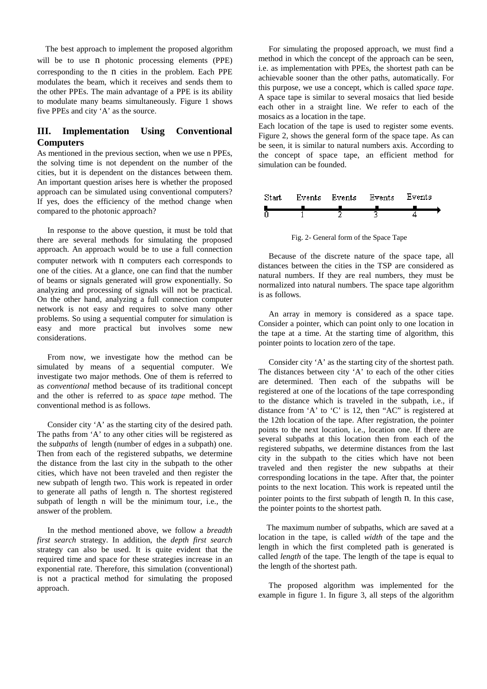The best approach to implement the proposed algorithm will be to use n photonic processing elements (PPE) corresponding to the n cities in the problem. Each PPE modulates the beam, which it receives and sends them to the other PPEs. The main advantage of a PPE is its ability to modulate many beams simultaneously. Figure 1 shows five PPEs and city 'A' as the source.

# **III. Implementation Using Conventional Computers**

As mentioned in the previous section, when we use n PPEs, the solving time is not dependent on the number of the cities, but it is dependent on the distances between them. An important question arises here is whether the proposed approach can be simulated using conventional computers? If yes, does the efficiency of the method change when compared to the photonic approach?

 In response to the above question, it must be told that there are several methods for simulating the proposed approach. An approach would be to use a full connection computer network with n computers each corresponds to one of the cities. At a glance, one can find that the number of beams or signals generated will grow exponentially. So analyzing and processing of signals will not be practical. On the other hand, analyzing a full connection computer network is not easy and requires to solve many other problems. So using a sequential computer for simulation is easy and more practical but involves some new considerations.

 From now, we investigate how the method can be simulated by means of a sequential computer. We investigate two major methods. One of them is referred to as *conventional* method because of its traditional concept and the other is referred to as *space tape* method. The conventional method is as follows.

 Consider city 'A' as the starting city of the desired path. The paths from 'A' to any other cities will be registered as the *subpaths* of length (number of edges in a subpath) one. Then from each of the registered subpaths, we determine the distance from the last city in the subpath to the other cities, which have not been traveled and then register the new subpath of length two. This work is repeated in order to generate all paths of length n. The shortest registered subpath of length n will be the minimum tour, i.e., the answer of the problem.

 In the method mentioned above, we follow a *breadth first search* strategy. In addition, the *depth first search* strategy can also be used. It is quite evident that the required time and space for these strategies increase in an exponential rate. Therefore, this simulation (conventional) is not a practical method for simulating the proposed approach.

 For simulating the proposed approach, we must find a method in which the concept of the approach can be seen, i.e. as implementation with PPEs, the shortest path can be achievable sooner than the other paths, automatically. For this purpose, we use a concept, which is called *space tape*. A space tape is similar to several mosaics that lied beside each other in a straight line. We refer to each of the mosaics as a location in the tape.

Each location of the tape is used to register some events. Figure 2, shows the general form of the space tape. As can be seen, it is similar to natural numbers axis. According to the concept of space tape, an efficient method for simulation can be founded.



Fig. 2- General form of the Space Tape

 Because of the discrete nature of the space tape, all distances between the cities in the TSP are considered as natural numbers. If they are real numbers, they must be normalized into natural numbers. The space tape algorithm is as follows.

 An array in memory is considered as a space tape. Consider a pointer, which can point only to one location in the tape at a time. At the starting time of algorithm, this pointer points to location zero of the tape.

 Consider city 'A' as the starting city of the shortest path. The distances between city 'A' to each of the other cities are determined. Then each of the subpaths will be registered at one of the locations of the tape corresponding to the distance which is traveled in the subpath, i.e., if distance from 'A' to 'C' is 12, then "AC" is registered at the 12th location of the tape. After registration, the pointer points to the next location, i.e., location one. If there are several subpaths at this location then from each of the registered subpaths, we determine distances from the last city in the subpath to the cities which have not been traveled and then register the new subpaths at their corresponding locations in the tape. After that, the pointer points to the next location. This work is repeated until the pointer points to the first subpath of length n. In this case, the pointer points to the shortest path.

 The maximum number of subpaths, which are saved at a location in the tape, is called *width* of the tape and the length in which the first completed path is generated is called *length* of the tape. The length of the tape is equal to the length of the shortest path.

 The proposed algorithm was implemented for the example in figure 1. In figure 3, all steps of the algorithm